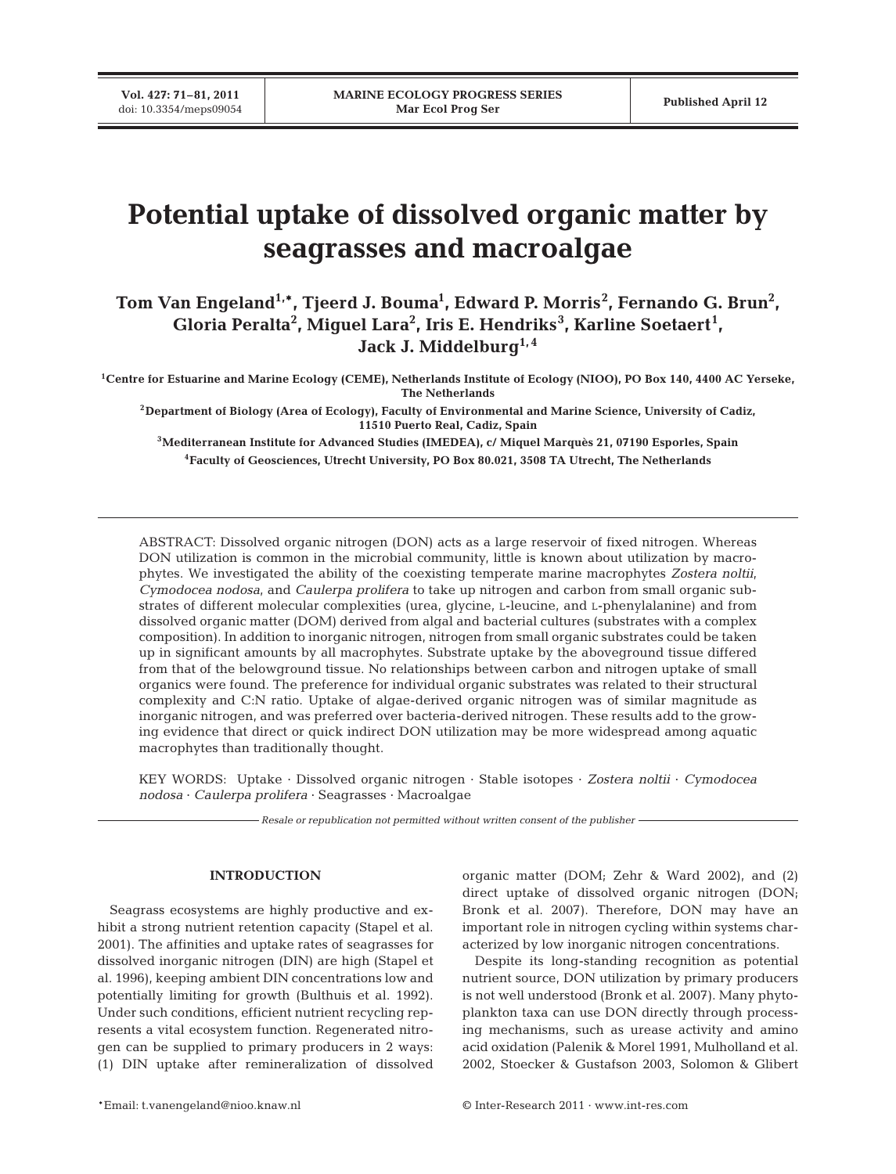**Vol. 427: 71–81, 2011**

# **Potential uptake of dissolved organic matter by seagrasses and macroalgae**

# Tom Van Engeland<sup>1,\*</sup>, Tjeerd J. Bouma<sup>1</sup>, Edward P. Morris<sup>2</sup>, Fernando G. Brun<sup>2</sup>, **Gloria Peralta2 , Miguel Lara2 , Iris E. Hendriks<sup>3</sup> , Karline Soetaert<sup>1</sup> ,**  Jack J. Middelburg<sup>1,4</sup>

**1Centre for Estuarine and Marine Ecology (CEME), Netherlands Institute of Ecology (NIOO), PO Box 140, 4400 AC Yerseke, The Netherlands**

**2Department of Biology (Area of Ecology), Faculty of Environmental and Marine Science, University of Cadiz, 11510 Puerto Real, Cadiz, Spain**

**3Mediterranean Institute for Advanced Studies (IMEDEA), c/ Miquel Marquès 21, 07190 Esporles, Spain 4Faculty of Geosciences, Utrecht University, PO Box 80.021, 3508 TA Utrecht, The Netherlands**

ABSTRACT: Dissolved organic nitrogen (DON) acts as a large reservoir of fixed nitrogen. Whereas DON utilization is common in the microbial community, little is known about utilization by macrophytes. We investigated the ability of the coexisting temperate marine macrophytes *Zostera noltii*, *Cymodocea nodosa*, and *Caulerpa prolifera* to take up nitrogen and carbon from small organic substrates of different molecular complexities (urea, glycine, L-leucine, and L-phenylalanine) and from dissolved organic matter (DOM) derived from algal and bacterial cultures (substrates with a complex composition). In addition to inorganic nitrogen, nitrogen from small organic substrates could be taken up in significant amounts by all macrophytes. Substrate uptake by the aboveground tissue differed from that of the belowground tissue. No relationships between carbon and nitrogen uptake of small organics were found. The preference for individual organic substrates was related to their structural complexity and C:N ratio. Uptake of algae-derived organic nitrogen was of similar magnitude as inorganic nitrogen, and was preferred over bacteria-derived nitrogen. These results add to the growing evidence that direct or quick indirect DON utilization may be more widespread among aquatic macrophytes than traditionally thought.

KEY WORDS: Uptake · Dissolved organic nitrogen · Stable isotopes · *Zostera noltii* · *Cymodocea nodosa* · *Caulerpa prolifera* · Seagrasses · Macroalgae

*Resale or republication not permitted without written consent of the publisher*

# **INTRODUCTION**

Seagrass ecosystems are highly productive and exhibit a strong nutrient retention capacity (Stapel et al. 2001). The affinities and uptake rates of seagrasses for dissolved inorganic nitrogen (DIN) are high (Stapel et al. 1996), keeping ambient DIN concentrations low and potentially limiting for growth (Bulthuis et al. 1992). Under such conditions, efficient nutrient recycling represents a vital ecosystem function. Regenerated nitrogen can be supplied to primary producers in 2 ways: (1) DIN uptake after remineralization of dissolved organic matter (DOM; Zehr & Ward 2002), and (2) direct uptake of dissolved organic nitrogen (DON; Bronk et al. 2007). Therefore, DON may have an important role in nitrogen cycling within systems characterized by low inorganic nitrogen concentrations.

Despite its long-standing recognition as potential nutrient source, DON utilization by primary producers is not well understood (Bronk et al. 2007). Many phytoplankton taxa can use DON directly through processing mechanisms, such as urease activity and amino acid oxidation (Palenik & Morel 1991, Mulholland et al. 2002, Stoecker & Gustafson 2003, Solomon & Glibert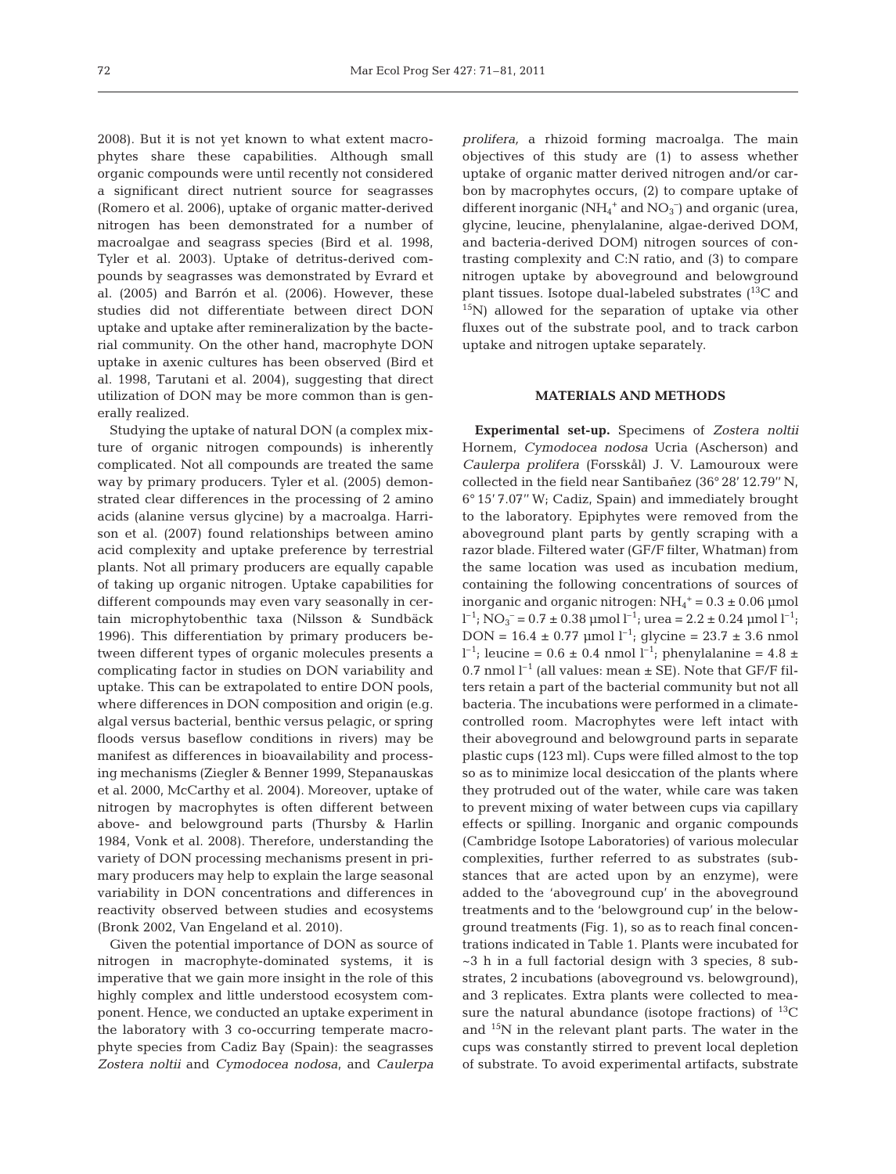2008). But it is not yet known to what extent macrophytes share these capabilities. Although small organic compounds were until recently not considered a significant direct nutrient source for seagrasses (Romero et al. 2006), uptake of organic matter-derived nitrogen has been demonstrated for a number of macro algae and seagrass species (Bird et al. 1998, Tyler et al. 2003). Uptake of detritus-derived compounds by seagrasses was demonstrated by Evrard et al. (2005) and Barrón et al. (2006). However, these studies did not differentiate between direct DON uptake and uptake after remineralization by the bacterial community. On the other hand, macrophyte DON uptake in axenic cultures has been observed (Bird et al. 1998, Tarutani et al. 2004), suggesting that direct utilization of DON may be more common than is generally realized.

Studying the uptake of natural DON (a complex mixture of organic nitrogen compounds) is inherently complicated. Not all compounds are treated the same way by primary producers. Tyler et al. (2005) demonstrated clear differences in the processing of 2 amino acids (alanine versus glycine) by a macroalga. Harrison et al. (2007) found relationships between amino acid complexity and uptake preference by terrestrial plants. Not all primary producers are equally capable of taking up organic nitrogen. Uptake capabilities for different compounds may even vary seasonally in certain microphytobenthic taxa (Nilsson & Sundbäck 1996). This differentiation by primary producers be tween different types of organic molecules presents a complicating factor in studies on DON variability and uptake. This can be extrapolated to entire DON pools, where differences in DON composition and origin (e.g. algal versus bacterial, benthic versus pelagic, or spring floods versus baseflow conditions in rivers) may be manifest as differences in bioavailability and processing mechanisms (Ziegler & Benner 1999, Stepanauskas et al. 2000, McCarthy et al. 2004). Moreover, uptake of nitrogen by macrophytes is often different between above- and belowground parts (Thursby & Harlin 1984, Vonk et al. 2008). Therefore, understanding the variety of DON processing mechanisms present in primary producers may help to explain the large seasonal variability in DON concentrations and differences in reactivity observed between studies and ecosystems (Bronk 2002, Van Engeland et al. 2010).

Given the potential importance of DON as source of nitrogen in macrophyte-dominated systems, it is imperative that we gain more insight in the role of this highly complex and little understood ecosystem component. Hence, we conducted an uptake experiment in the laboratory with 3 co-occurring temperate macrophyte species from Cadiz Bay (Spain): the seagrasses *Zostera noltii* and *Cymodocea nodosa*, and *Caulerpa*

*prolifera,* a rhizoid forming macroalga. The main objectives of this study are (1) to assess whether uptake of organic matter derived nitrogen and/or carbon by macrophytes occurs, (2) to compare uptake of different inorganic  $(NH_4^+$  and  $NO_3^-$ ) and organic (urea, glycine, leucine, phenylalanine, algae-derived DOM, and bacteria-derived DOM) nitrogen sources of contrasting complexity and C:N ratio, and (3) to compare nitrogen uptake by aboveground and belowground plant tissues. Isotope dual-labeled substrates  $(^{13}C$  and  $^{15}$ N) allowed for the separation of uptake via other fluxes out of the substrate pool, and to track carbon uptake and nitrogen uptake separately.

### **MATERIALS AND METHODS**

**Experimental set-up.** Specimens of *Zostera noltii* Hornem, *Cymodocea nodosa* Ucria (Ascherson) and *Caulerpa prolifera* (Forsskål) J. V. Lamouroux were collected in the field near Santibañez (36° 28' 12.79'' N, 6° 15' 7.07'' W; Cadiz, Spain) and immediately brought to the laboratory. Epiphytes were removed from the aboveground plant parts by gently scraping with a razor blade. Filtered water (GF/F filter, Whatman) from the same location was used as incubation medium, containing the following concentrations of sources of inorganic and organic nitrogen:  $NH_4^+ = 0.3 \pm 0.06$  µmol  $l^{-1}$ ; NO<sub>3</sub><sup>-</sup> = 0.7 ± 0.38 µmol  $l^{-1}$ ; urea = 2.2 ± 0.24 µmol  $l^{-1}$ ; DON =  $16.4 \pm 0.77$  µmol  $l^{-1}$ ; glycine =  $23.7 \pm 3.6$  nmol  $l^{-1}$ ; leucine = 0.6 ± 0.4 nmol  $l^{-1}$ ; phenylalanine = 4.8 ± 0.7 nmol  $l^{-1}$  (all values: mean  $\pm$  SE). Note that GF/F filters retain a part of the bacterial community but not all bacteria. The incubations were performed in a climatecontrolled room. Macrophytes were left intact with their aboveground and belowground parts in separate plastic cups (123 ml). Cups were filled almost to the top so as to minimize local desiccation of the plants where they protruded out of the water, while care was taken to prevent mixing of water between cups via capillary effects or spilling. Inorganic and organic compounds (Cambridge Isotope Laboratories) of various molecular complexities, further referred to as substrates (substances that are acted upon by an enzyme), were added to the 'aboveground cup' in the aboveground treatments and to the 'belowground cup' in the belowground treatments (Fig. 1), so as to reach final concentrations indicated in Table 1. Plants were incubated for ~3 h in a full factorial design with 3 species, 8 substrates, 2 incubations (aboveground vs. belowground), and 3 replicates. Extra plants were collected to measure the natural abundance (isotope fractions) of  $^{13}C$ and 15N in the relevant plant parts. The water in the cups was constantly stirred to prevent local depletion of substrate. To avoid experimental artifacts, substrate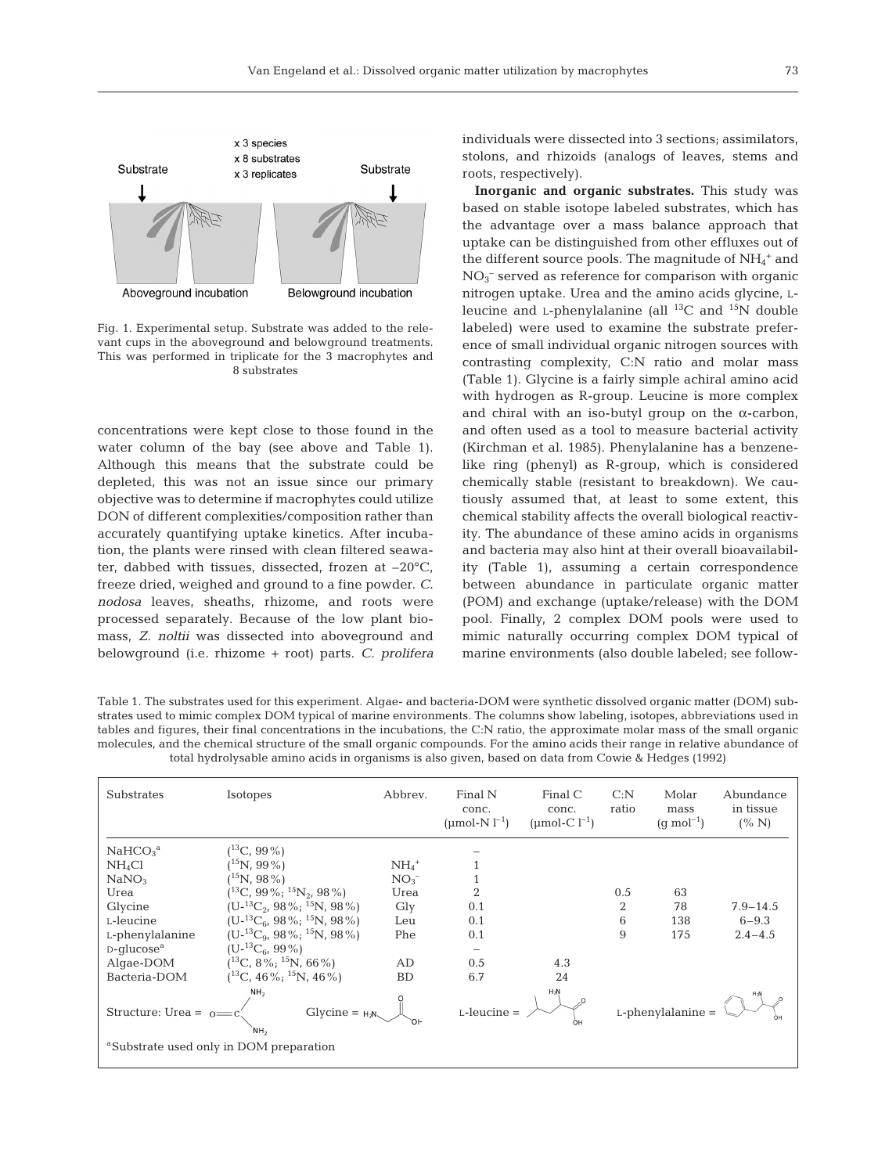

Fig. 1. Experimental setup. Substrate was added to the relevant cups in the aboveground and belowground treatments. This was performed in triplicate for the 3 macrophytes and 8 substrates

concentrations were kept close to those found in the water column of the bay (see above and Table 1). Although this means that the substrate could be depleted, this was not an issue since our primary objective was to determine if macrophytes could utilize DON of different complexities/composition rather than accurately quantifying uptake kinetics. After incubation, the plants were rinsed with clean filtered seawater, dabbed with tissues, dissected, frozen at –20°C, freeze dried, weighed and ground to a fine powder. *C. nodosa* leaves, sheaths, rhizome, and roots were processed separately. Because of the low plant biomass, *Z. noltii* was dissected into aboveground and belowground (i.e. rhizome + root) parts. *C. prolifera* individuals were dissected into 3 sections; assimilators, stolons, and rhizoids (analogs of leaves, stems and roots, respectively).

**Inorganic and organic substrates.** This study was based on stable isotope labeled substrates, which has the advantage over a mass balance approach that uptake can be distinguished from other effluxes out of the different source pools. The magnitude of  $\mathrm{NH}_4{}^+$  and  $NO<sub>3</sub><sup>-</sup>$  served as reference for comparison with organic nitrogen uptake. Urea and the amino acids glycine, Lleucine and L-phenylalanine (all  $^{13}$ C and  $^{15}$ N double labeled) were used to examine the substrate preference of small individual organic nitrogen sources with contrasting complexity, C:N ratio and molar mass (Table 1). Glycine is a fairly simple achiral amino acid with hydrogen as R-group. Leucine is more complex and chiral with an iso-butyl group on the  $\alpha$ -carbon, and often used as a tool to measure bacterial activity (Kirchman et al. 1985). Phenylalanine has a benzenelike ring (phenyl) as R-group, which is considered chemically stable (resistant to breakdown). We cautiously assumed that, at least to some extent, this chemical stability affects the overall biological reactivity. The abundance of these amino acids in organisms and bacteria may also hint at their overall bioavailability (Table 1), assuming a certain correspondence between abundance in particulate organic matter (POM) and exchange (uptake/release) with the DOM pool. Finally, 2 complex DOM pools were used to mimic naturally occurring complex DOM typical of marine environments (also double labeled; see follow-

Table 1. The substrates used for this experiment. Algae- and bacteria-DOM were synthetic dissolved organic matter (DOM) substrates used to mimic complex DOM typical of marine environments. The columns show labeling, isotopes, abbreviations used in tables and figures, their final concentrations in the incubations, the C:N ratio, the approximate molar mass of the small organic molecules, and the chemical structure of the small organic compounds. For the amino acids their range in relative abundance of total hydrolysable amino acids in organisms is also given, based on data from Cowie & Hedges (1992)

| Substrates                                                                                                           | <b>Isotopes</b>                      | Abbrev.             | Final N<br>conc.<br>(umol-N $l^{-1}$ ) | Final $C$<br>conc.<br>(umol-C $l^{-1}$ ) | C: N<br>ratio        | Molar<br>mass<br>$(q \text{ mol}^{-1})$ | Abundance<br>in tissue<br>(% N) |
|----------------------------------------------------------------------------------------------------------------------|--------------------------------------|---------------------|----------------------------------------|------------------------------------------|----------------------|-----------------------------------------|---------------------------------|
| NaHCO <sub>3</sub> <sup>a</sup>                                                                                      | $(^{13}C, 99\%)$                     |                     |                                        |                                          |                      |                                         |                                 |
| NH <sub>4</sub> Cl                                                                                                   | $(^{15}N, 99\%)$                     | $NH_4$ <sup>+</sup> |                                        |                                          |                      |                                         |                                 |
| NaNO <sub>3</sub>                                                                                                    | $(^{15}N, 98\%)$                     | $NO_{3}^{-}$        |                                        |                                          |                      |                                         |                                 |
| Urea                                                                                                                 | $(^{13}C, 99\%; ^{15}N_2, 98\%)$     | Urea                | $\overline{2}$                         |                                          | 0.5                  | 63                                      |                                 |
| Glycine                                                                                                              | $(U^{-13}C_2, 98\%; ^{15}N, 98\%)$   | Gly                 | 0.1                                    |                                          | $\overline{2}$       | 78                                      | $7.9 - 14.5$                    |
| L-leucine                                                                                                            | $(U^{-13}C_{6}, 98\%; ^{15}N, 98\%)$ | Leu                 | 0.1                                    |                                          | 6                    | 138                                     | $6 - 9.3$                       |
| L-phenylalanine                                                                                                      | $(U^{-13}C_{9}, 98\%; ^{15}N, 98\%)$ | Phe                 | 0.1                                    |                                          | 9                    | 175                                     | $2.4 - 4.5$                     |
| $D$ -glucose <sup>a</sup>                                                                                            | $(U^{-13}C_{6}, 99\%)$               |                     | $\overline{\phantom{0}}$               |                                          |                      |                                         |                                 |
| Algae-DOM                                                                                                            | $(^{13}C, 8\%; ^{15}N, 66\%)$        | AD                  | 0.5                                    | 4.3                                      |                      |                                         |                                 |
| Bacteria-DOM                                                                                                         | $(^{13}C, 46\%; ^{15}N, 46\%)$       | <b>BD</b>           | 6.7                                    | 24                                       |                      |                                         |                                 |
| NH <sub>2</sub><br>$Glycine = H2N$<br>Structure: Urea = $o$ =<br><sup>a</sup> Substrate used only in DOM preparation |                                      |                     | $H_2N$<br>$L$ -leucine =<br>OН         |                                          | $L$ -phenylalanine = |                                         |                                 |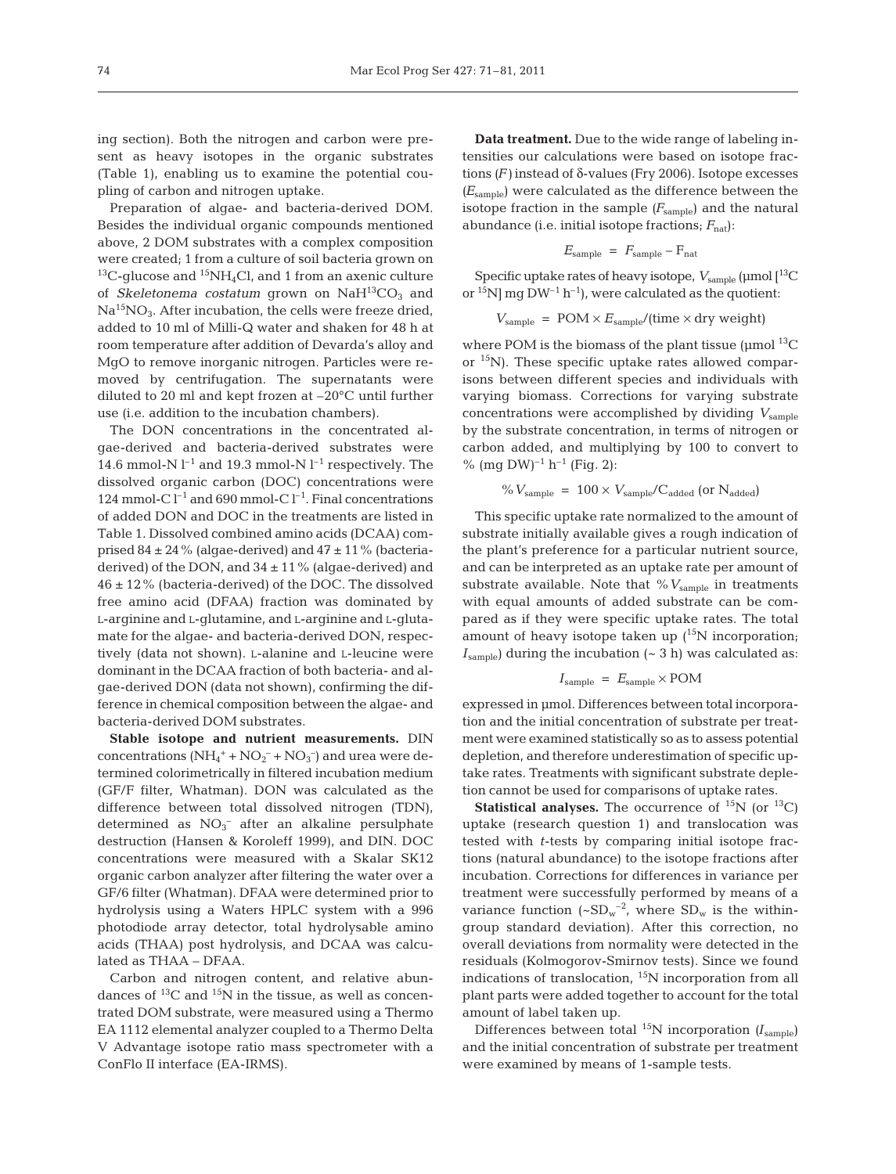ing section). Both the nitrogen and carbon were present as heavy isotopes in the organic substrates (Table 1), enabling us to examine the potential coupling of carbon and nitrogen uptake.

Preparation of algae- and bacteria-derived DOM. Besides the individual organic compounds mentioned above, 2 DOM substrates with a complex composition were created; 1 from a culture of soil bacteria grown on <sup>13</sup>C-glucose and <sup>15</sup>NH<sub>4</sub>Cl, and 1 from an axenic culture of *Skeletonema costatum* grown on  $NAH^{13}CO<sub>3</sub>$  and  $Na^{15}NO<sub>3</sub>$ . After incubation, the cells were freeze dried, added to 10 ml of Milli-Q water and shaken for 48 h at room temperature after addition of Devarda's alloy and MgO to remove inorganic nitrogen. Particles were removed by centrifugation. The supernatants were diluted to 20 ml and kept frozen at –20°C until further use (i.e. addition to the incubation chambers).

The DON concentrations in the concentrated algae-derived and bacteria-derived substrates were 14.6 mmol-N  $l^{-1}$  and 19.3 mmol-N  $l^{-1}$  respectively. The dissolved organic carbon (DOC) concentrations were 124 mmol-C  $l^{-1}$  and 690 mmol-C  $l^{-1}$ . Final concentrations of added DON and DOC in the treatments are listed in Table 1. Dissolved combined amino acids (DCAA) comprised  $84 \pm 24$ % (algae-derived) and  $47 \pm 11$ % (bacteriaderived) of the DON, and  $34 \pm 11$ % (algae-derived) and 46 ± 12% (bacteria-derived) of the DOC. The dissolved free amino acid (DFAA) fraction was dominated by L-arginine and L-glutamine, and L-arginine and L-glutamate for the algae- and bacteria-derived DON, respectively (data not shown). L-alanine and L-leucine were dominant in the DCAA fraction of both bacteria- and algae-derived DON (data not shown), confirming the difference in chemical composition between the algae- and bacteria-derived DOM substrates.

**Stable isotope and nutrient measurements.** DIN concentrations  $(NH_4^+ + NO_2^- + NO_3^-)$  and urea were determined colorimetrically in filtered incubation medium (GF/F filter, Whatman). DON was calculated as the difference between total dissolved nitrogen (TDN), determined as  $NO<sub>3</sub><sup>-</sup>$  after an alkaline persulphate destruction (Hansen & Koroleff 1999), and DIN. DOC concentrations were measured with a Skalar SK12 organic carbon analyzer after filtering the water over a GF/6 filter (Whatman). DFAA were determined prior to hydrolysis using a Waters HPLC system with a 996 photodiode array detector, total hydrolysable amino acids (THAA) post hydrolysis, and DCAA was calculated as THAA – DFAA.

Carbon and nitrogen content, and relative abundances of  $^{13}$ C and  $^{15}$ N in the tissue, as well as concentrated DOM substrate, were measured using a Thermo EA 1112 elemental analyzer coupled to a Thermo Delta V Advantage isotope ratio mass spectrometer with a ConFlo II interface (EA-IRMS).

**Data treatment.** Due to the wide range of labeling intensities our calculations were based on isotope fractions  $(F)$  instead of δ-values (Fry 2006). Isotope excesses *(E*<sub>sample</sub>) were calculated as the difference between the isotope fraction in the sample  $(F_{\text{sample}})$  and the natural abundance (i.e. initial isotope fractions;  $F_{\text{nat}}$ ):

$$
E_{\text{sample}} = F_{\text{sample}} - F_{\text{nat}}
$$

Specific uptake rates of heavy isotope,  $V_{\text{sample}}$  (µmol [<sup>13</sup>C or  $^{15}$ N] mg DW<sup>-1</sup> h<sup>-1</sup>), were calculated as the quotient:

$$
V_{\text{sample}} = \text{POM} \times E_{\text{sample}} / (\text{time} \times \text{dry weight})
$$

where POM is the biomass of the plant tissue ( $\mu$ mol <sup>13</sup>C or 15N). These specific uptake rates allowed comparisons between different species and individuals with varying biomass. Corrections for varying substrate concentrations were accomplished by dividing *V*sample by the substrate concentration, in terms of nitrogen or carbon added, and multiplying by 100 to convert to % (mg DW)<sup>-1</sup> h<sup>-1</sup> (Fig. 2):

$$
\% V_{\text{sample}} = 100 \times V_{\text{sample}} / C_{\text{added}}
$$
 (or N<sub>added</sub>)

This specific uptake rate normalized to the amount of substrate initially available gives a rough indication of the plant's preference for a particular nutrient source, and can be interpreted as an uptake rate per amount of substrate available. Note that % V<sub>sample</sub> in treatments with equal amounts of added substrate can be compared as if they were specific uptake rates. The total amount of heavy isotope taken up  $(^{15}N$  incorporation;  $I_{\text{sample}}$ ) during the incubation ( $\sim$  3 h) was calculated as:

$$
I_{\text{sample}} = E_{\text{sample}} \times \text{POM}
$$

expressed in µmol. Differences between total incorporation and the initial concentration of substrate per treatment were examined statistically so as to assess potential depletion, and therefore underestimation of specific uptake rates. Treatments with significant substrate depletion cannot be used for comparisons of uptake rates.

**Statistical analyses.** The occurrence of  $^{15}N$  (or  $^{13}C$ ) uptake (research question 1) and translocation was tested with *t*-tests by comparing initial isotope fractions (natural abundance) to the isotope fractions after incubation. Corrections for differences in variance per treatment were successfully performed by means of a variance function  $({\sim}SD_w^{-2})$ , where  $SD_w$  is the withingroup standard deviation). After this correction, no overall deviations from normality were detected in the residuals (Kolmogorov-Smirnov tests). Since we found indications of translocation, 15N incorporation from all plant parts were added together to account for the total amount of label taken up.

Differences between total  $^{15}N$  incorporation  $(I_{sample})$ and the initial concentration of substrate per treatment were examined by means of 1-sample tests.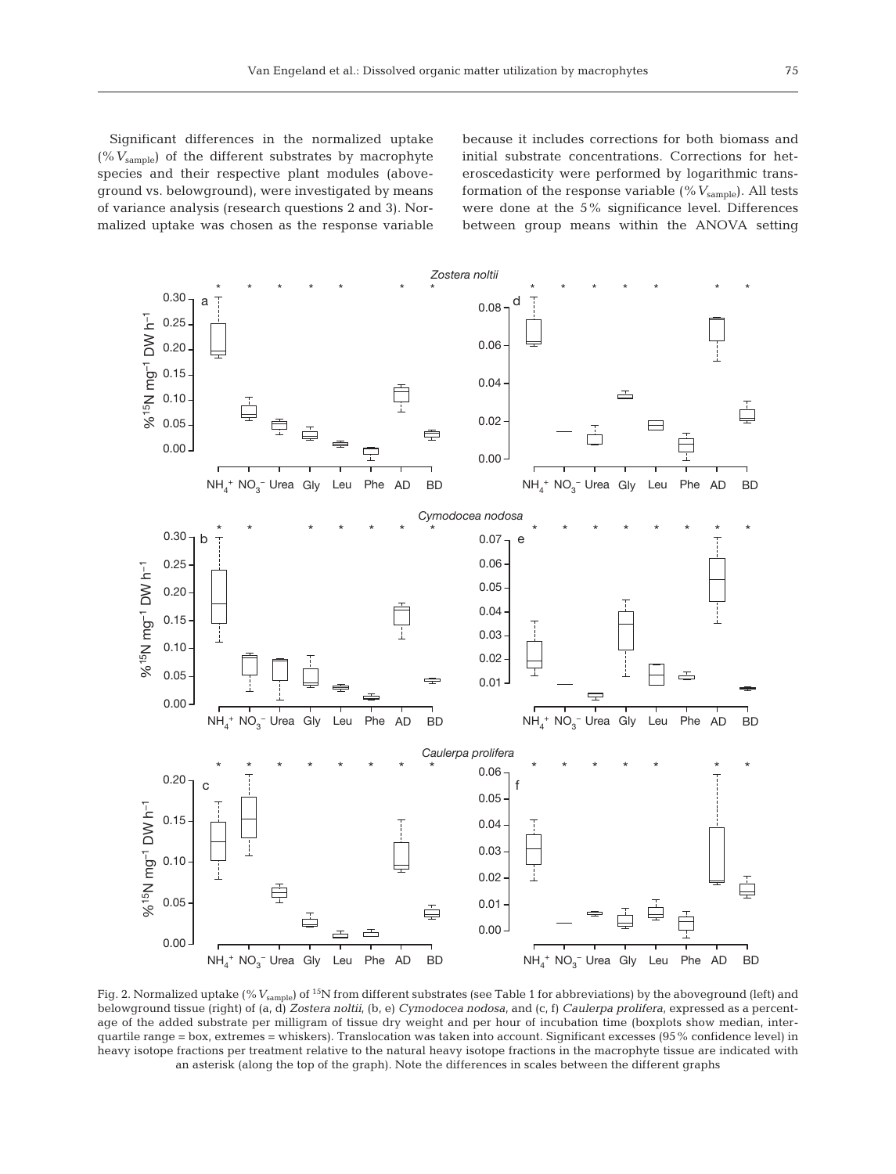because it includes corrections for both biomass and initial substrate concentrations. Corrections for heteroscedasticity were performed by logarithmic transformation of the response variable (%  $V_{\text{sample}}$ ). All tests were done at the 5% significance level. Differences between group means within the ANOVA setting



Fig. 2. Normalized uptake (% V<sub>sample</sub>) of <sup>15</sup>N from different substrates (see Table 1 for abbreviations) by the aboveground (left) and belowground tissue (right) of (a, d) *Zostera noltii*, (b, e) *Cymodocea nodosa*, and (c, f) *Caulerpa prolifera*, expressed as a percentage of the added substrate per milligram of tissue dry weight and per hour of incubation time (boxplots show median, interquartile range = box, extremes = whiskers). Translocation was taken into account. Significant excesses (95% confidence level) in heavy isotope fractions per treatment relative to the natural heavy isotope fractions in the macrophyte tissue are indicated with an asterisk (along the top of the graph). Note the differences in scales between the different graphs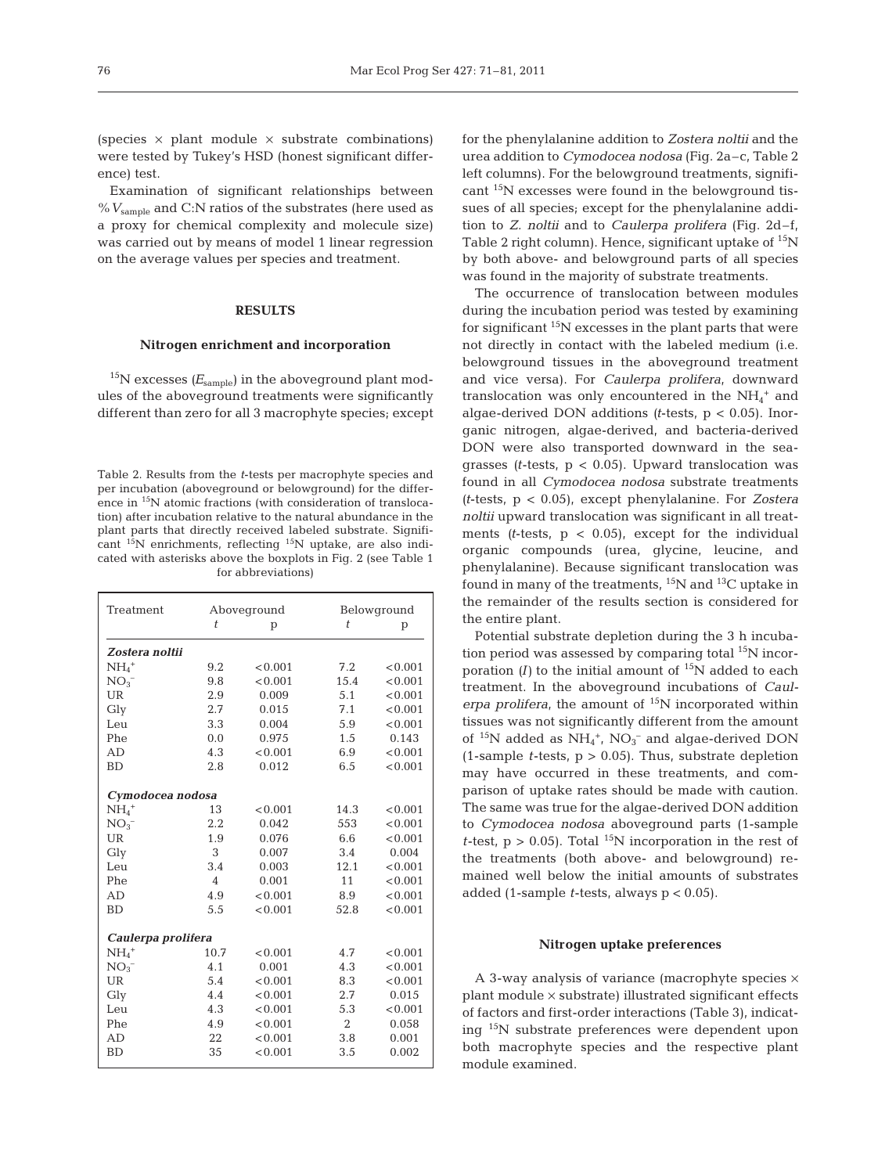(species  $\times$  plant module  $\times$  substrate combinations) were tested by Tukey's HSD (honest significant difference) test.

Examination of significant relationships between  $\%$   $V_{\rm sample}$  and C:N ratios of the substrates (here used as a proxy for chemical complexity and molecule size) was carried out by means of model 1 linear regression on the average values per species and treatment.

#### **RESULTS**

#### **Nitrogen enrichment and incorporation**

 $15$ N excesses ( $E_{\text{sample}}$ ) in the aboveground plant modules of the aboveground treatments were significantly different than zero for all 3 macrophyte species; except

Table 2. Results from the *t*-tests per macrophyte species and per incubation (aboveground or belowground) for the difference in 15N atomic fractions (with consideration of translocation) after incubation relative to the natural abundance in the plant parts that directly received labeled substrate. Significant 15N enrichments, reflecting 15N uptake, are also indicated with asterisks above the boxplots in Fig. 2 (see Table 1 for abbreviations)

| Treatment           |                    | Aboveground |                | Belowground |  |  |  |  |  |
|---------------------|--------------------|-------------|----------------|-------------|--|--|--|--|--|
|                     | t                  | p           | t              | p           |  |  |  |  |  |
| Zostera noltii      |                    |             |                |             |  |  |  |  |  |
| $NH_4$ <sup>+</sup> | 9.2                | < 0.001     | 7.2            | < 0.001     |  |  |  |  |  |
| $NO_{3}^{-}$        | 9.8                | < 0.001     | 15.4           | < 0.001     |  |  |  |  |  |
| <b>UR</b>           | 2.9                | 0.009       | 5.1            | < 0.001     |  |  |  |  |  |
| Gly                 | 2.7                | 0.015       | 7.1            | < 0.001     |  |  |  |  |  |
| Leu                 | 3.3                | 0.004       | 5.9            | < 0.001     |  |  |  |  |  |
| Phe                 | 0.0                | 0.975       | 1.5            | 0.143       |  |  |  |  |  |
| AD                  | 4.3                | < 0.001     | 6.9            | < 0.001     |  |  |  |  |  |
| <b>BD</b>           | 2.8                | 0.012       | 6.5            | < 0.001     |  |  |  |  |  |
|                     |                    |             |                |             |  |  |  |  |  |
| Cymodocea nodosa    |                    |             |                |             |  |  |  |  |  |
| $NH4+$              | 13                 | < 0.001     | 14.3           | < 0.001     |  |  |  |  |  |
| $NO3-$              | 2.2                | 0.042       | 553            | < 0.001     |  |  |  |  |  |
| UR                  | 1.9                | 0.076       | 6.6            | < 0.001     |  |  |  |  |  |
| Gly                 | 3                  | 0.007       | 3.4            | 0.004       |  |  |  |  |  |
| Leu                 | 3.4                | 0.003       | 12.1           | < 0.001     |  |  |  |  |  |
| Phe                 | $\overline{4}$     | 0.001       | 11             | < 0.001     |  |  |  |  |  |
| AD                  | 4.9                | < 0.001     | 8.9            | < 0.001     |  |  |  |  |  |
| <b>BD</b>           | 5.5                | < 0.001     | 52.8           | < 0.001     |  |  |  |  |  |
|                     |                    |             |                |             |  |  |  |  |  |
|                     | Caulerpa prolifera |             |                |             |  |  |  |  |  |
| $NH4$ <sup>+</sup>  | 10.7               | < 0.001     | 4.7            | < 0.001     |  |  |  |  |  |
| $NO_{3}^{-}$        | 4.1                | 0.001       | 4.3            | < 0.001     |  |  |  |  |  |
| <b>UR</b>           | 5.4                | < 0.001     | 8.3            | < 0.001     |  |  |  |  |  |
| Gly                 | 4.4                | < 0.001     | 2.7            | 0.015       |  |  |  |  |  |
| Leu                 | 4.3                | < 0.001     | 5.3            | < 0.001     |  |  |  |  |  |
| Phe                 | 4.9                | < 0.001     | $\overline{2}$ | 0.058       |  |  |  |  |  |
| AD                  | 22                 | < 0.001     | 3.8            | 0.001       |  |  |  |  |  |
| <b>BD</b>           | 35                 | < 0.001     | 3.5            | 0.002       |  |  |  |  |  |

for the phenylalanine addition to *Zostera noltii* and the urea addition to *Cymodocea nodosa* (Fig. 2a–c, Table 2 left columns). For the belowground treatments, significant 15N excesses were found in the belowground tissues of all species; except for the phenylalanine addition to *Z. noltii* and to *Caulerpa prolifera* (Fig. 2d–f, Table 2 right column). Hence, significant uptake of  $^{15}N$ by both above- and belowground parts of all species was found in the majority of substrate treatments.

The occurrence of translocation between modules during the incubation period was tested by examining for significant  $15N$  excesses in the plant parts that were not directly in contact with the labeled medium (i.e. belowground tissues in the aboveground treatment and vice versa). For *Caulerpa prolifera*, downward translocation was only encountered in the  $NH_4^+$  and algae-derived DON additions *(t*-tests, p < 0.05). Inorganic nitrogen, algae-derived, and bacteria-derived DON were also transported downward in the seagrasses *(t*-tests, p < 0.05). Upward translocation was found in all *Cymodocea nodosa* substrate treatments *(t*-tests, p < 0.05), except phenylalanine. For *Zostera noltii* upward translocation was significant in all treatments  $(t$ -tests,  $p < 0.05$ , except for the individual organic compounds (urea, glycine, leucine, and phenylalanine). Because significant translocation was found in many of the treatments,  ${}^{15}N$  and  ${}^{13}C$  uptake in the remainder of the results section is considered for the entire plant.

Potential substrate depletion during the 3 h incubation period was assessed by comparing total  $^{15}N$  incorporation  $(I)$  to the initial amount of  $15N$  added to each treatment. In the aboveground incubations of *Caul*  erpa prolifera, the amount of <sup>15</sup>N incorporated within tissues was not significantly different from the amount of  $^{15}N$  added as  $NH_4^+$ ,  $NO_3^-$  and algae-derived DON  $(1$ -sample *t*-tests,  $p > 0.05$ ). Thus, substrate depletion may have occurred in these treatments, and comparison of uptake rates should be made with caution. The same was true for the algae-derived DON addition to *Cymodocea nodosa* aboveground parts (1-sample *t*-test,  $p > 0.05$ . Total <sup>15</sup>N incorporation in the rest of the treatments (both above- and belowground) remained well below the initial amounts of substrates added (1-sample *t*-tests, always p < 0.05).

## **Nitrogen uptake preferences**

A 3-way analysis of variance (macrophyte species  $\times$ plant module × substrate) illustrated significant effects of factors and first-order interactions (Table 3), indicating 15N substrate preferences were dependent upon both macrophyte species and the respective plant module examined.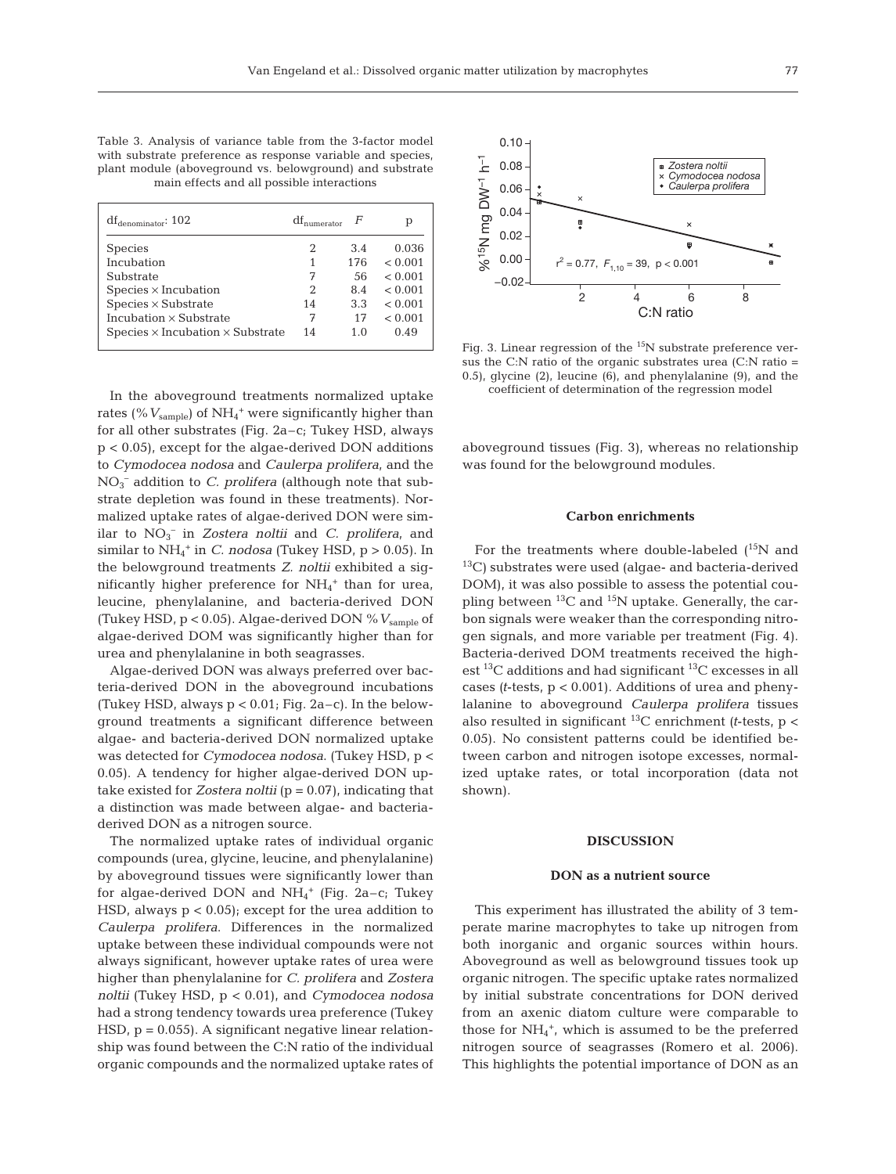Table 3. Analysis of variance table from the 3-factor model with substrate preference as response variable and species, plant module (aboveground vs. belowground) and substrate main effects and all possible interactions

| $df_{denominator}$ : 102                       | $df_{\text{numerator}}$ |     | р       |
|------------------------------------------------|-------------------------|-----|---------|
| <b>Species</b>                                 | 2                       | 3.4 | 0.036   |
| Incubation                                     |                         | 176 | < 0.001 |
| Substrate                                      | 7                       | 56  | < 0.001 |
| $Species \times Incubation$                    | 2                       | 8.4 | < 0.001 |
| $Species \times Substrate$                     | 14                      | 3.3 | < 0.001 |
| Incubation $\times$ Substrate                  | 7                       | 17  | < 0.001 |
| Species $\times$ Incubation $\times$ Substrate | 14                      | 1.0 | 0.49    |

In the aboveground treatments normalized uptake rates (%  $V_{\rm sample}$ ) of NH<sub>4</sub><sup>+</sup> were significantly higher than for all other substrates (Fig. 2a–c; Tukey HSD, always p < 0.05), except for the algae-derived DON additions to *Cymodocea nodosa* and *Caulerpa prolifera*, and the NO3 – addition to *C. prolifera* (although note that substrate depletion was found in these treatments). Normalized uptake rates of algae-derived DON were similar to NO3 – in *Zostera noltii* and *C. prolifera*, and similar to  $NH_4^+$  in *C. nodosa* (Tukey HSD,  $p > 0.05$ ). In the belowground treatments *Z. noltii* exhibited a significantly higher preference for  $NH_4^+$  than for urea, leucine, phenylalanine, and bacteria-derived DON (Tukey HSD, p < 0.05). Algae-derived DON %*V*sample of algae-derived DOM was significantly higher than for urea and phenylalanine in both seagrasses.

Algae-derived DON was always preferred over bacteria-derived DON in the aboveground incubations (Tukey HSD, always  $p < 0.01$ ; Fig. 2a–c). In the belowground treatments a significant difference between algae- and bacteria-derived DON normalized uptake was detected for *Cymodocea nodosa*. (Tukey HSD, p < 0.05). A tendency for higher algae-derived DON uptake existed for *Zostera noltii* (p = 0.07), indicating that a distinction was made between algae- and bacteriaderived DON as a nitrogen source.

The normalized uptake rates of individual organic compounds (urea, glycine, leucine, and phenylalanine) by aboveground tissues were significantly lower than for algae-derived DON and  $NH_4^+$  (Fig. 2a–c; Tukey HSD, always  $p < 0.05$ ; except for the urea addition to *Caulerpa prolifera*. Differences in the normalized uptake between these individual compounds were not always significant, however uptake rates of urea were higher than phenylalanine for *C. prolifera* and *Zostera noltii* (Tukey HSD, p < 0.01), and *Cymodocea nodosa* had a strong tendency towards urea preference (Tukey HSD, p = 0.055). A significant negative linear relationship was found between the C:N ratio of the individual organic compounds and the normalized uptake rates of



Fig. 3. Linear regression of the <sup>15</sup>N substrate preference versus the C:N ratio of the organic substrates urea (C:N ratio = 0.5), glycine (2), leucine (6), and phenylalanine (9), and the coefficient of determination of the regression model

aboveground tissues (Fig. 3), whereas no relationship was found for the belowground modules.

### **Carbon enrichments**

For the treatments where double-labeled  $(^{15}N$  and 13C) substrates were used (algae- and bacteria-derived DOM), it was also possible to assess the potential coupling between  $^{13}$ C and  $^{15}$ N uptake. Generally, the carbon signals were weaker than the corresponding nitrogen signals, and more variable per treatment (Fig. 4). Bacteria-derived DOM treatments received the highest  $^{13}$ C additions and had significant  $^{13}$ C excesses in all cases *(t*-tests, p < 0.001). Additions of urea and phenylalanine to aboveground *Caulerpa prolifera* tissues also resulted in significant  $^{13}$ C enrichment *(t*-tests, p < 0.05). No consistent patterns could be identified be tween carbon and nitrogen isotope excesses, normalized uptake rates, or total incorporation (data not shown).

#### **DISCUSSION**

#### **DON as a nutrient source**

This experiment has illustrated the ability of 3 temperate marine macrophytes to take up nitrogen from both inorganic and organic sources within hours. Aboveground as well as belowground tissues took up organic nitrogen. The specific uptake rates normalized by initial substrate concentrations for DON derived from an axenic diatom culture were comparable to those for  $NH_4^+$ , which is assumed to be the preferred nitrogen source of seagrasses (Romero et al. 2006). This highlights the potential importance of DON as an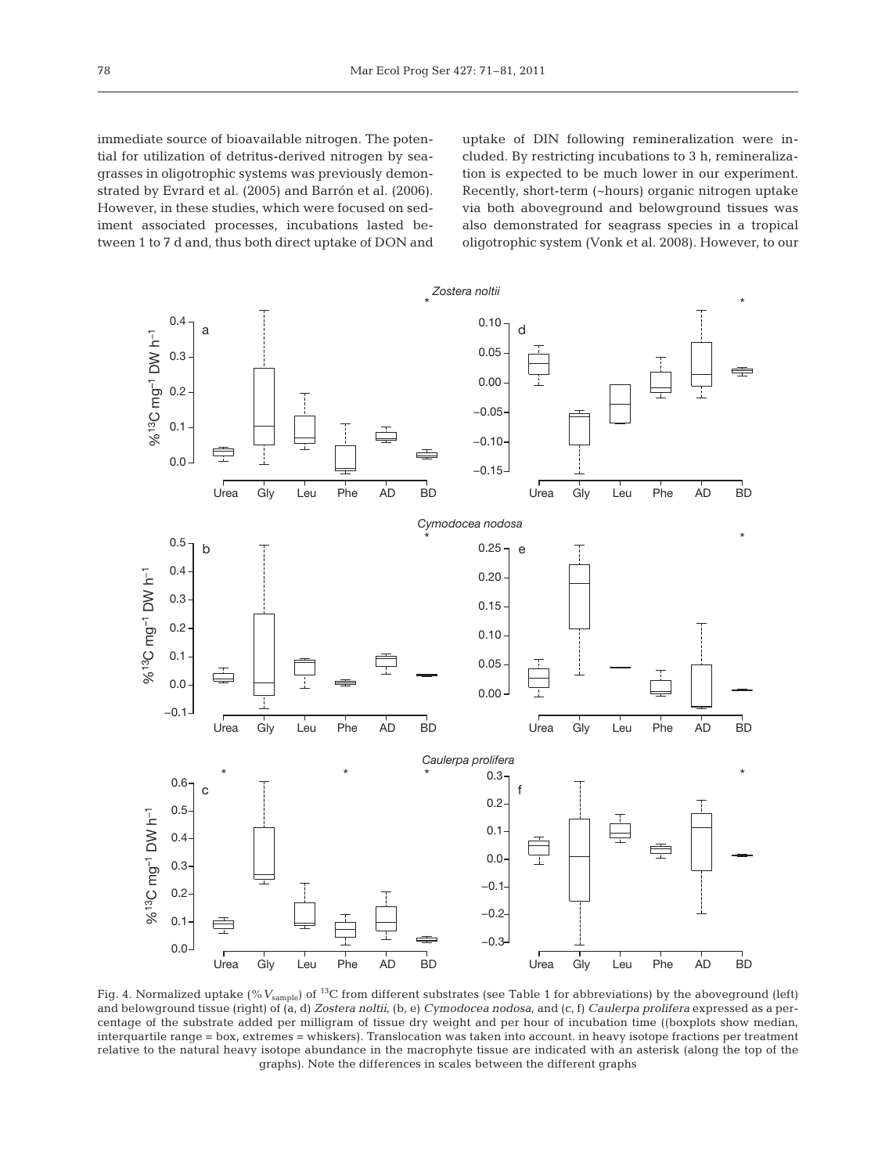immediate source of bioavailable nitrogen. The potential for utilization of detritus-derived nitrogen by seagrasses in oligotrophic systems was previously demonstrated by Evrard et al. (2005) and Barrón et al. (2006). However, in these studies, which were focused on sediment associated processes, incubations lasted be tween 1 to 7 d and, thus both direct uptake of DON and uptake of DIN following remineralization were included. By restricting incubations to 3 h, remineralization is ex pected to be much lower in our experiment. Recently, short-term (~hours) organic nitrogen uptake via both aboveground and belowground tissues was also demonstrated for seagrass species in a tropical oligotrophic system (Vonk et al. 2008). However, to our



Fig. 4. Normalized uptake (%  $V_{\text{sample}}$ ) of <sup>13</sup>C from different substrates (see Table 1 for abbreviations) by the aboveground (left) and belowground tissue (right) of (a, d) *Zostera noltii*, (b, e) *Cymodocea nodosa*, and (c, f) *Caulerpa prolifera* expressed as a percentage of the substrate added per milligram of tissue dry weight and per hour of incubation time ((boxplots show median, interquartile range = box, extremes = whiskers). Translocation was taken into account. in heavy isotope fractions per treatment relative to the natural heavy isotope abundance in the macrophyte tissue are indicated with an asterisk (along the top of the graphs). Note the differences in scales between the different graphs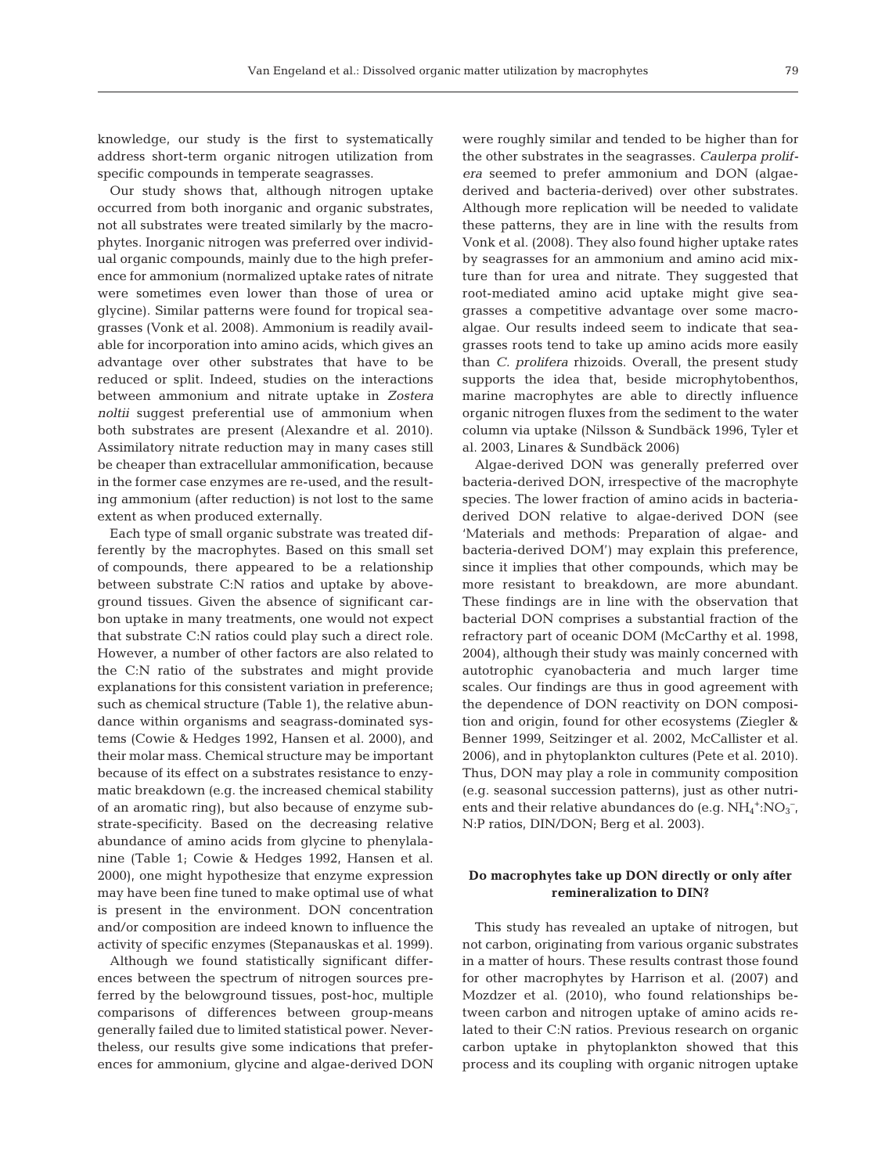knowledge, our study is the first to systematically address short-term organic nitrogen utilization from specific compounds in temperate seagrasses.

Our study shows that, although nitrogen uptake occurred from both inorganic and organic substrates, not all substrates were treated similarly by the macrophytes. Inorganic nitrogen was preferred over individual organic compounds, mainly due to the high preference for ammonium (normalized uptake rates of nitrate were sometimes even lower than those of urea or glycine). Similar patterns were found for tropical seagrasses (Vonk et al. 2008). Ammonium is readily available for incorporation into amino acids, which gives an advantage over other substrates that have to be reduced or split. Indeed, studies on the interactions between ammonium and nitrate uptake in *Zostera noltii* suggest preferential use of ammonium when both substrates are present (Alexandre et al. 2010). Assimilatory nitrate reduction may in many cases still be cheaper than extracellular ammonification, because in the former case enzymes are re-used, and the resulting ammonium (after reduction) is not lost to the same extent as when produced externally.

Each type of small organic substrate was treated differently by the macrophytes. Based on this small set of compounds, there appeared to be a relationship between substrate C:N ratios and uptake by aboveground tissues. Given the absence of significant carbon uptake in many treatments, one would not expect that substrate C:N ratios could play such a direct role. However, a number of other factors are also related to the C:N ratio of the substrates and might provide explanations for this consistent variation in preference; such as chemical structure (Table 1), the relative abundance within organisms and seagrass-dominated systems (Cowie & Hedges 1992, Hansen et al. 2000), and their molar mass. Chemical structure may be important because of its effect on a substrates resistance to enzymatic breakdown (e.g. the increased chemical stability of an aromatic ring), but also because of enzyme substrate-specificity. Based on the decreasing relative abundance of amino acids from glycine to phenylalanine (Table 1; Cowie & Hedges 1992, Hansen et al. 2000), one might hypothesize that enzyme expression may have been fine tuned to make optimal use of what is present in the environment. DON concentration and/or composition are indeed known to influence the activity of specific enzymes (Stepanauskas et al. 1999).

Although we found statistically significant differences between the spectrum of nitrogen sources preferred by the belowground tissues, post-hoc, multiple comparisons of differences between group-means generally failed due to limited statistical power. Nevertheless, our results give some indications that preferences for ammonium, glycine and algae-derived DON were roughly similar and tended to be higher than for the other substrates in the seagrasses. *Caulerpa prolifera* seemed to prefer ammonium and DON (algaederived and bacteria-derived) over other substrates. Although more replication will be needed to validate these patterns, they are in line with the results from Vonk et al. (2008). They also found higher uptake rates by seagrasses for an ammonium and amino acid mixture than for urea and nitrate. They suggested that root-mediated amino acid uptake might give seagrasses a competitive advantage over some macroalgae. Our results indeed seem to indicate that seagrasses roots tend to take up amino acids more easily than *C. prolifera* rhizoids. Overall, the present study supports the idea that, beside microphytobenthos, marine macrophytes are able to directly influence organic nitrogen fluxes from the sediment to the water column via uptake (Nilsson & Sundbäck 1996, Tyler et al. 2003, Linares & Sundbäck 2006)

Algae-derived DON was generally preferred over bacteria-derived DON, irrespective of the macrophyte species. The lower fraction of amino acids in bacteriaderived DON relative to algae-derived DON (see 'Materials and methods: Preparation of algae- and bacteria-derived DOM') may explain this preference, since it implies that other compounds, which may be more resistant to breakdown, are more abundant. These findings are in line with the observation that bacterial DON comprises a substantial fraction of the refractory part of oceanic DOM (McCarthy et al. 1998, 2004), although their study was mainly concerned with autotrophic cyanobacteria and much larger time scales. Our findings are thus in good agreement with the dependence of DON reactivity on DON composition and origin, found for other ecosystems (Ziegler & Benner 1999, Seitzinger et al. 2002, McCallister et al. 2006), and in phytoplankton cultures (Pete et al. 2010). Thus, DON may play a role in community composition (e.g. seasonal succession patterns), just as other nutrients and their relative abundances do (e.g.  $NH_4^+$ : $NO_3^-$ , N:P ratios, DIN/DON; Berg et al. 2003).

# **Do macrophytes take up DON directly or only after remineralization to DIN?**

This study has revealed an uptake of nitrogen, but not carbon, originating from various organic substrates in a matter of hours. These results contrast those found for other macrophytes by Harrison et al. (2007) and Mozdzer et al. (2010), who found relationships be tween carbon and nitrogen uptake of amino acids related to their C:N ratios. Previous research on organic carbon uptake in phytoplankton showed that this process and its coupling with organic nitrogen uptake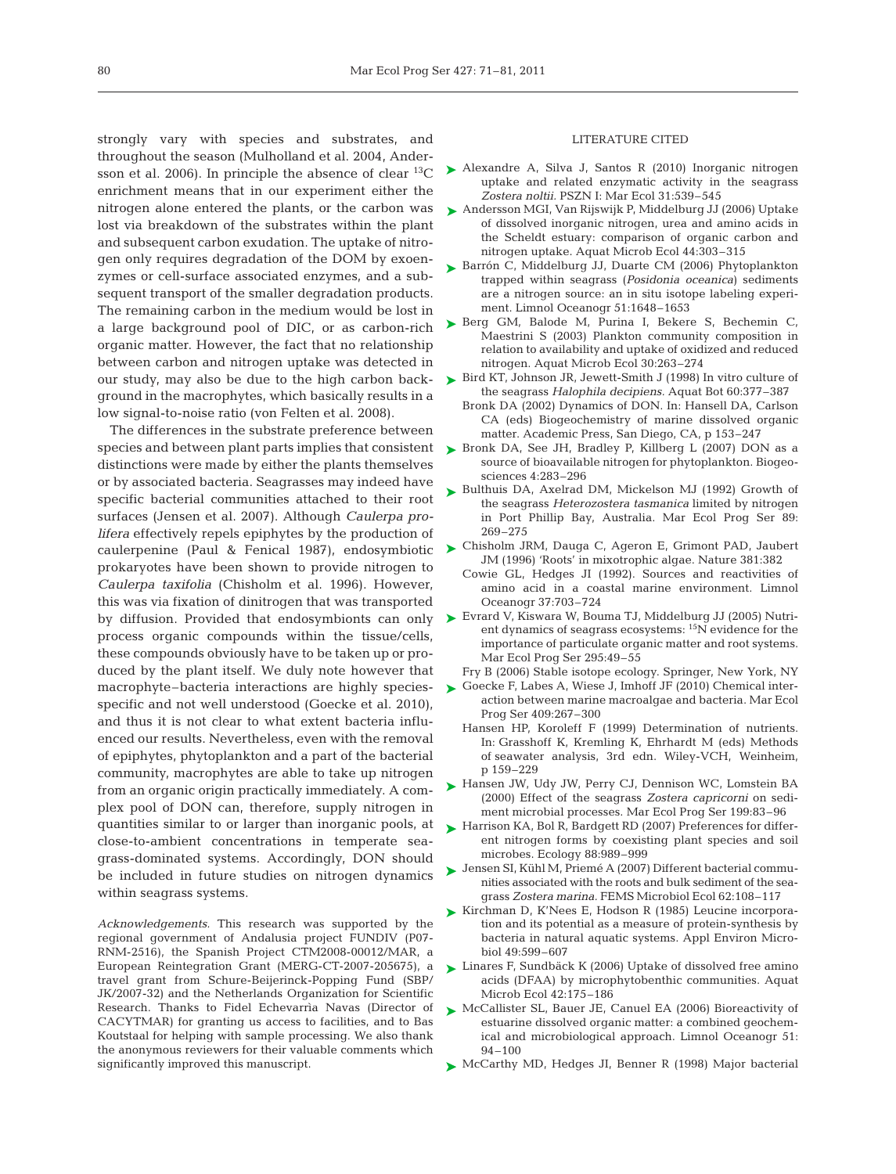strongly vary with species and substrates, and throughout the season (Mulholland et al. 2004, Andersson et al. 2006). In principle the absence of clear  ${}^{13}C$ enrichment means that in our experiment either the nitrogen alone entered the plants, or the carbon was lost via breakdown of the substrates within the plant and subsequent carbon exudation. The uptake of nitrogen only requires degradation of the DOM by exoenzymes or cell-surface associated enzymes, and a subsequent transport of the smaller degradation products. The remaining carbon in the medium would be lost in a large background pool of DIC, or as carbon-rich organic matter. However, the fact that no relationship between carbon and nitrogen uptake was detected in our study, may also be due to the high carbon background in the macrophytes, which basically results in a low signal-to-noise ratio (von Felten et al. 2008).

The differences in the substrate preference between distinctions were made by either the plants themselves or by associated bacteria. Seagrasses may indeed have specific bacterial communities attached to their root surfaces (Jensen et al. 2007). Although *Caulerpa prolifera* effectively repels epiphytes by the production of prokaryotes have been shown to provide nitrogen to *Caulerpa taxifolia* (Chisholm et al. 1996). However, this was via fixation of dinitrogen that was transported process organic compounds within the tissue/cells, these compounds obviously have to be taken up or produced by the plant itself. We duly note however that macrophyte–bacteria interactions are highly species-Goecke F, Labes A, Wiese J, Imhoff JF (2010) Chemical inter-➤ specific and not well understood (Goecke et al. 2010), and thus it is not clear to what extent bacteria influenced our results. Nevertheless, even with the removal of epiphytes, phytoplankton and a part of the bacterial community, macrophytes are able to take up nitrogen from an organic origin practically immediately. A complex pool of DON can, therefore, supply nitrogen in quantities similar to or larger than inorganic pools, at close-to-ambient concentrations in temperate seagrass-dominated systems. Accordingly, DON should be included in future studies on nitrogen dynamics within seagrass systems.

*Acknowledgements.* This research was supported by the regional government of Andalusia project FUNDIV (P07- RNM-2516), the Spanish Project CTM2008-00012/MAR, a European Reintegration Grant (MERG-CT-2007-205675), a travel grant from Schure-Beijerinck-Popping Fund (SBP/ JK/2007-32) and the Netherlands Organization for Scientific Research. Thanks to Fidel Echevarrìa Navas (Director of CACYTMAR) for granting us access to facilities, and to Bas Koutstaal for helping with sample processing. We also thank the anonymous reviewers for their valuable comments which significantly improved this manuscript.

#### LITERATURE CITED

- ► Alexandre A, Silva J, Santos R (2010) Inorganic nitrogen uptake and related enzymatic activity in the seagrass *Zostera noltii.* PSZN I: Mar Ecol 31:539–545
- Andersson MGI, Van Rijswijk P, Middelburg JJ (2006) Uptake ➤of dissolved inorganic nitrogen, urea and amino acids in the Scheldt estuary: comparison of organic carbon and nitrogen uptake. Aquat Microb Ecol 44:303–315
- ► Barrón C, Middelburg JJ, Duarte CM (2006) Phytoplankton trapped within seagrass (*Posidonia oceanica*) sediments are a nitrogen source: an in situ isotope labeling experiment. Limnol Oceanogr 51:1648–1653
- ► Berg GM, Balode M, Purina I, Bekere S, Bechemin C, Maestrini S (2003) Plankton community composition in relation to availability and uptake of oxidized and reduced nitrogen. Aquat Microb Ecol 30:263–274
- ► Bird KT, Johnson JR, Jewett-Smith J (1998) In vitro culture of the seagrass *Halophila decipiens.* Aquat Bot 60:377–387
	- Bronk DA (2002) Dynamics of DON. In: Hansell DA, Carlson CA (eds) Biogeochemistry of marine dissolved organic matter. Academic Press, San Diego, CA, p 153–247
- species and between plant parts implies that consistent > Bronk DA, See JH, Bradley P, Killberg L (2007) DON as a source of bioavailable nitrogen for phytoplankton. Biogeosciences 4:283–296
	- ▶ Bulthuis DA, Axelrad DM, Mickelson MJ (1992) Growth of the seagrass *Heterozostera tasmanica* limited by nitrogen in Port Phillip Bay, Australia. Mar Ecol Prog Ser 89: 269–275
- caulerpenine (Paul & Fenical 1987), endosymbiotic Chisholm JRM, Dauga C, Ageron E, Grimont PAD, Jaubert ➤ JM (1996) 'Roots' in mixotrophic algae. Nature 381:382
	- Cowie GL, Hedges JI (1992). Sources and reactivities of amino acid in a coastal marine environment. Limnol Oceanogr 37:703–724
- by diffusion. Provided that endosymbionts can only  $\triangleright$  Evrard V, Kiswara W, Bouma TJ, Middelburg JJ (2005) Nutrient dynamics of seagrass ecosystems: 15N evidence for the importance of particulate organic matter and root systems. Mar Ecol Prog Ser 295:49–55
	- Fry B (2006) Stable isotope ecology. Springer, New York, NY
	- action between marine macroalgae and bacteria. Mar Ecol Prog Ser 409:267–300
	- Hansen HP, Koroleff F (1999) Determination of nutrients. In: Grasshoff K, Kremling K, Ehrhardt M (eds) Methods of seawater analysis, 3rd edn. Wiley-VCH, Weinheim, p 159–229
	- ► Hansen JW, Udy JW, Perry CJ, Dennison WC, Lomstein BA (2000) Effect of the seagrass *Zostera capricorni* on sediment microbial processes. Mar Ecol Prog Ser 199:83–96
	- ► Harrison KA, Bol R, Bardgett RD (2007) Preferences for different nitrogen forms by coexisting plant species and soil microbes. Ecology 88:989–999
	- Jensen SI, Kühl M, Priemé A (2007) Different bacterial commu-➤ nities associated with the roots and bulk sediment of the seagrass *Zostera marina.* FEMS Microbiol Ecol 62: 108–117
	- ► Kirchman D, K'Nees E, Hodson R (1985) Leucine incorporation and its potential as a measure of protein-synthesis by bacteria in natural aquatic systems. Appl Environ Microbiol 49:599–607
	- ► Linares F, Sundbäck K (2006) Uptake of dissolved free amino acids (DFAA) by microphytobenthic communities. Aquat Microb Ecol 42:175–186
	- ▶ McCallister SL, Bauer JE, Canuel EA (2006) Bioreactivity of estuarine dissolved organic matter: a combined geochemical and microbiological approach. Limnol Oceanogr 51: 94–100
	- ▶ McCarthy MD, Hedges JI, Benner R (1998) Major bacterial